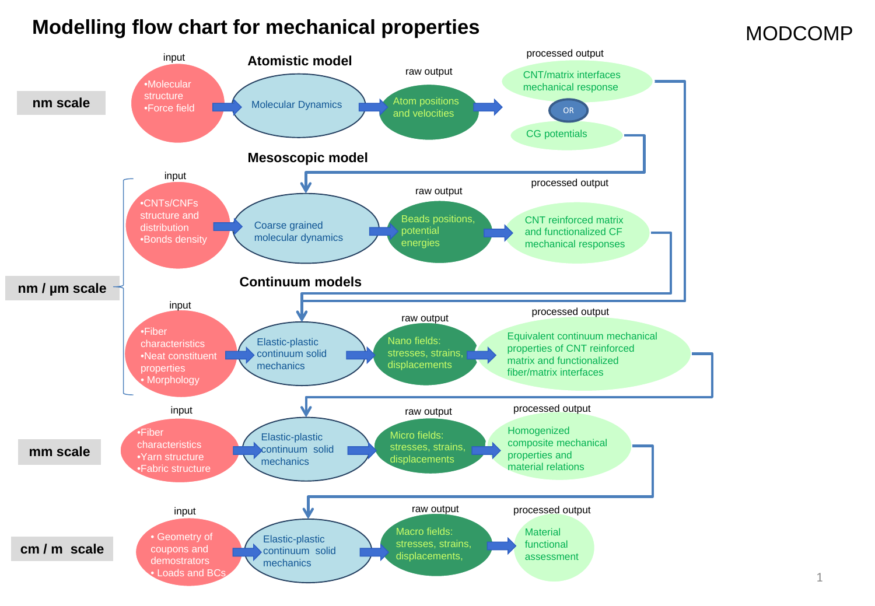# **Modelling flow chart for mechanical properties**

Elastic-plastic continuum solid mechanics Elastic-plastic continuum solid mechanics Molecular Dynamics •Molecular **structure** •Force field input **Atomistic model Mesoscopic model** Atom positions and velocities CG potentials raw output processed output raw output **Continuum models** •CNTs/CNFs structure and distribution •Bonds density Coarse grained molecular dynamics Beads positions, potential energies CNT reinforced matrix and functionalized CF mechanical responses •Fiber characteristics •Yarn structure •Fabric structure • Geometry of coupons and demostrators **Loads and BC** Macro fields: stresses, strains, displacements, Micro fields: stresses, strains, displacements Homogenized composite mechanical properties and material relations **Material** functional assessment •Fiber characteristics •Neat constituent properties • Morphology Elastic-plastic continuum solid mechanics Nano fields: stresses, strains, displacements Equivalent continuum mechanical properties of CNT reinforced matrix and functionalized fiber/matrix interfaces processed output raw output **processed output** raw output **processed output** raw output processed output input input input input **nm scale nm / µm scale mm scale cm / m scale** CNT/matrix interfaces mechanical response OR

#### 1

#### MODCOMP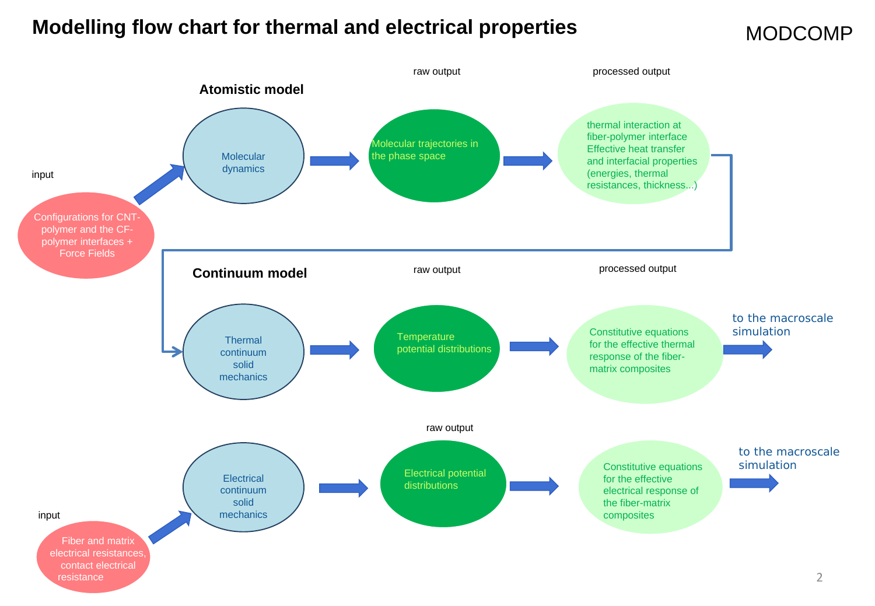### **Modelling flow chart for thermal and electrical properties**

#### MODCOMP